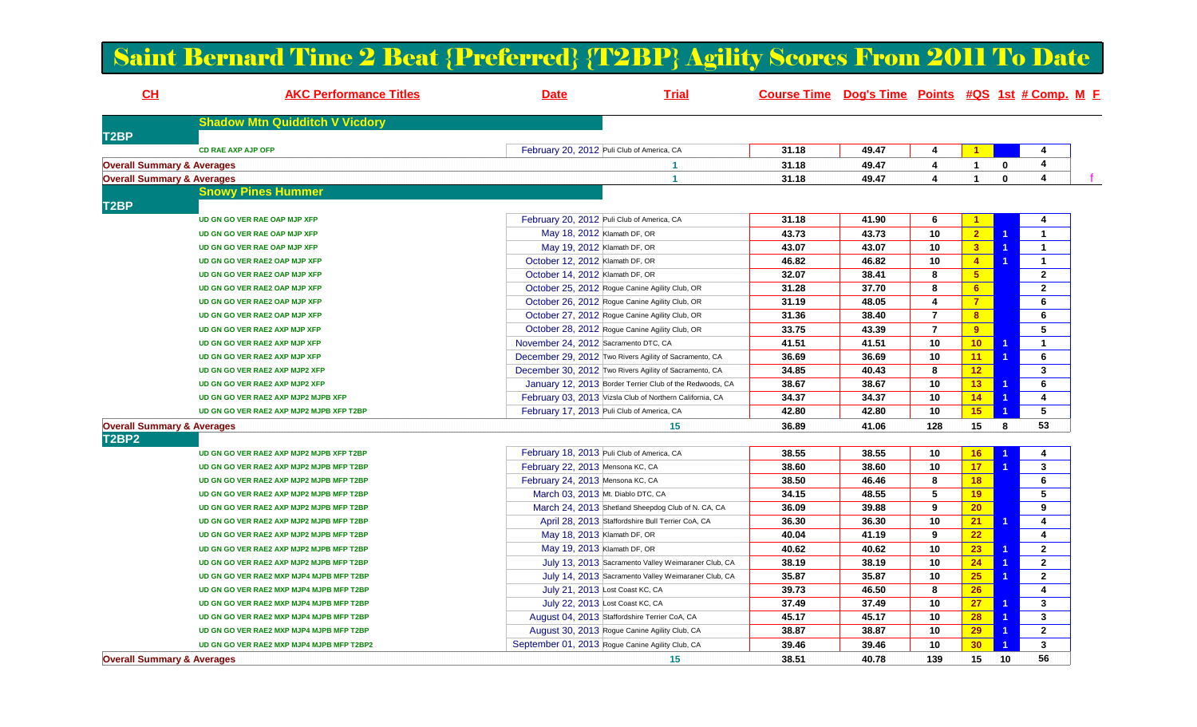## Saint Bernard Time 2 Beat {Preferred} {T2BP} Agility Scores From 2011 To Date

| CH                                    | <b>AKC Performance Titles</b>             | <b>Date</b>                          | <b>Trial</b>                                             | Course Time Dog's Time Points #QS 1st # Comp. M F |       |                |                      |                |                         |  |
|---------------------------------------|-------------------------------------------|--------------------------------------|----------------------------------------------------------|---------------------------------------------------|-------|----------------|----------------------|----------------|-------------------------|--|
|                                       | <b>Shadow Mtn Quidditch V Vicdory</b>     |                                      |                                                          |                                                   |       |                |                      |                |                         |  |
| T <sub>2</sub> BP                     |                                           |                                      |                                                          |                                                   |       |                |                      |                |                         |  |
|                                       | <b>CD RAE AXP AJP OFP</b>                 |                                      | February 20, 2012 Puli Club of America, CA               | 31.18                                             | 49.47 | 4              | $\blacktriangleleft$ |                | 4                       |  |
| <b>Overall Summary &amp; Averages</b> |                                           |                                      | 1                                                        | 31.18                                             | 49.47 | 4              | $\mathbf{1}$         | $\bf{0}$       | 4                       |  |
| <b>Overall Summary &amp; Averages</b> |                                           |                                      | $\overline{\mathbf{1}}$                                  | 31.18                                             | 49.47 | 4              | $\mathbf{1}$         | $\mathbf{0}$   | $\overline{4}$          |  |
| T <sub>2</sub> BP                     | <b>Snowy Pines Hummer</b>                 |                                      |                                                          |                                                   |       |                |                      |                |                         |  |
|                                       | UD GN GO VER RAE OAP MJP XFP              |                                      | February 20, 2012 Puli Club of America, CA               | 31.18                                             | 41.90 | 6              | $\blacktriangleleft$ |                | 4                       |  |
|                                       | UD GN GO VER RAE OAP MJP XFP              | May 18, 2012 Klamath DF, OR          |                                                          | 43.73                                             | 43.73 | 10             | 2 <sup>2</sup>       | $\overline{1}$ | $\mathbf{1}$            |  |
|                                       | UD GN GO VER RAE OAP MJP XFP              | May 19, 2012 Klamath DF, OR          |                                                          | 43.07                                             | 43.07 | 10             | 3                    | $\overline{1}$ | $\mathbf{1}$            |  |
|                                       | UD GN GO VER RAE2 OAP MJP XFP             | October 12, 2012 Klamath DF, OR      |                                                          | 46.82                                             | 46.82 | 10             | $\overline{4}$       | $\overline{1}$ | $\mathbf{1}$            |  |
|                                       | UD GN GO VER RAE2 OAP MJP XFP             | October 14, 2012 Klamath DF, OR      |                                                          | 32.07                                             | 38.41 | 8              | 5 <sub>5</sub>       |                | $\mathbf{2}$            |  |
|                                       | UD GN GO VER RAE2 OAP MJP XFP             |                                      | October 25, 2012 Rogue Canine Agility Club, OR           | 31.28                                             | 37.70 | 8              | 6                    |                | $\mathbf{2}$            |  |
|                                       | UD GN GO VER RAE2 OAP MJP XFP             |                                      | October 26, 2012 Rogue Canine Agility Club, OR           | 31.19                                             | 48.05 | 4              | $\overline{7}$       |                | 6                       |  |
|                                       | UD GN GO VER RAE2 OAP MJP XFP             |                                      | October 27, 2012 Rogue Canine Agility Club, OR           | 31.36                                             | 38.40 | $\overline{7}$ | 8                    |                | $\bf 6$                 |  |
|                                       | UD GN GO VER RAE2 AXP MJP XFP             |                                      | October 28, 2012 Rogue Canine Agility Club, OR           | 33.75                                             | 43.39 | $\overline{7}$ | 9                    |                | 5                       |  |
|                                       | UD GN GO VER RAE2 AXP MJP XFP             | November 24, 2012 Sacramento DTC, CA |                                                          | 41.51                                             | 41.51 | 10             | 10 <sub>1</sub>      | $\overline{1}$ | $\mathbf{1}$            |  |
|                                       | UD GN GO VER RAE2 AXP MJP XFP             |                                      | December 29, 2012 Two Rivers Agility of Sacramento, CA   | 36.69                                             | 36.69 | 10             | 11                   | -1             | $\bf 6$                 |  |
|                                       | UD GN GO VER RAE2 AXP MJP2 XFP            |                                      | December 30, 2012 Two Rivers Agility of Sacramento, CA   | 34.85                                             | 40.43 | 8              | 12                   |                | 3                       |  |
|                                       | UD GN GO VER RAE2 AXP MJP2 XFP            |                                      | January 12, 2013 Border Terrier Club of the Redwoods, CA | 38.67                                             | 38.67 | 10             | 13                   | -1             | 6                       |  |
|                                       | UD GN GO VER RAE2 AXP MJP2 MJPB XFP       |                                      |                                                          | 34.37                                             | 34.37 | 10             | 14                   | -1             | 4                       |  |
|                                       |                                           |                                      | February 03, 2013 Vizsla Club of Northern California, CA |                                                   |       |                |                      |                |                         |  |
|                                       | UD GN GO VER RAE2 AXP MJP2 MJPB XFP T2BP  |                                      | February 17, 2013 Puli Club of America, CA               | 42.80                                             | 42.80 | 10             | 15                   |                | $\sqrt{5}$              |  |
| <b>Overall Summary &amp; Averages</b> |                                           |                                      | 15                                                       | 36.89                                             | 41.06 | 128            | 15                   | 8              | 53                      |  |
| <b>T2BP2</b>                          |                                           |                                      |                                                          |                                                   |       |                |                      |                |                         |  |
|                                       | UD GN GO VER RAE2 AXP MJP2 MJPB XFP T2BP  |                                      | February 18, 2013 Puli Club of America, CA               | 38.55                                             | 38.55 | 10             | 16                   |                | 4                       |  |
|                                       | UD GN GO VER RAE2 AXP MJP2 MJPB MFP T2BP  | February 22, 2013 Mensona KC, CA     |                                                          | 38.60                                             | 38.60 | 10             | 17                   | $\overline{1}$ | $\mathbf{3}$            |  |
|                                       | UD GN GO VER RAE2 AXP MJP2 MJPB MFP T2BP  | February 24, 2013 Mensona KC, CA     |                                                          | 38.50                                             | 46.46 | 8              | 18                   |                | 6                       |  |
|                                       | UD GN GO VER RAE2 AXP MJP2 MJPB MFP T2BP  | March 03, 2013 Mt. Diablo DTC, CA    |                                                          | 34.15                                             | 48.55 | 5              | 19                   |                | 5                       |  |
|                                       | UD GN GO VER RAE2 AXP MJP2 MJPB MFP T2BP  |                                      | March 24, 2013 Shetland Sheepdog Club of N. CA, CA       | 36.09                                             | 39.88 | 9              | 20                   |                | 9                       |  |
|                                       | UD GN GO VER RAE2 AXP MJP2 MJPB MFP T2BP  |                                      | April 28, 2013 Staffordshire Bull Terrier CoA, CA        | 36.30                                             | 36.30 | 10             | 21                   | $\overline{1}$ | 4                       |  |
|                                       | UD GN GO VER RAE2 AXP MJP2 MJPB MFP T2BP  | May 18, 2013 Klamath DF, OR          |                                                          | 40.04                                             | 41.19 | 9              | 22                   |                | $\overline{\mathbf{4}}$ |  |
|                                       | UD GN GO VER RAE2 AXP MJP2 MJPB MFP T2BP  | May 19, 2013 Klamath DF, OR          |                                                          | 40.62                                             | 40.62 | 10             | 23                   | $\overline{1}$ | $\overline{2}$          |  |
|                                       | UD GN GO VER RAE2 AXP MJP2 MJPB MFP T2BP  |                                      | July 13, 2013 Sacramento Valley Weimaraner Club, CA      | 38.19                                             | 38.19 | 10             | 24                   |                | $\bf 2$                 |  |
|                                       | UD GN GO VER RAE2 MXP MJP4 MJPB MFP T2BP  |                                      | July 14, 2013 Sacramento Valley Weimaraner Club, CA      | 35.87                                             | 35.87 | 10             | 25                   | $\overline{1}$ | $\mathbf{2}$            |  |
|                                       | UD GN GO VER RAE2 MXP MJP4 MJPB MFP T2BP  |                                      | July 21, 2013 Lost Coast KC, CA                          | 39.73                                             | 46.50 | 8              | 26                   |                | 4                       |  |
|                                       | UD GN GO VER RAE2 MXP MJP4 MJPB MFP T2BP  |                                      | July 22, 2013 Lost Coast KC, CA                          | 37.49                                             | 37.49 | 10             | 27                   | $\overline{1}$ | 3                       |  |
|                                       | UD GN GO VER RAE2 MXP MJP4 MJPB MFP T2BP  |                                      | August 04, 2013 Staffordshire Terrier CoA, CA            | 45.17                                             | 45.17 | 10             | 28                   | 1              | $\mathbf 3$             |  |
|                                       | UD GN GO VER RAE2 MXP MJP4 MJPB MFP T2BP  |                                      | August 30, 2013 Rogue Canine Agility Club, CA            | 38.87                                             | 38.87 | 10             | 29                   | -1             | $\mathbf{2}$            |  |
|                                       | UD GN GO VER RAE2 MXP MJP4 MJPB MFP T2BP2 |                                      | September 01, 2013 Rogue Canine Agility Club, CA         | 39.46                                             | 39.46 | 10             | 30                   |                | $\mathbf{3}$            |  |
| <b>Overall Summary &amp; Averages</b> |                                           |                                      | 15                                                       | 38.51                                             | 40.78 | 139            | 15                   | 10             | 56                      |  |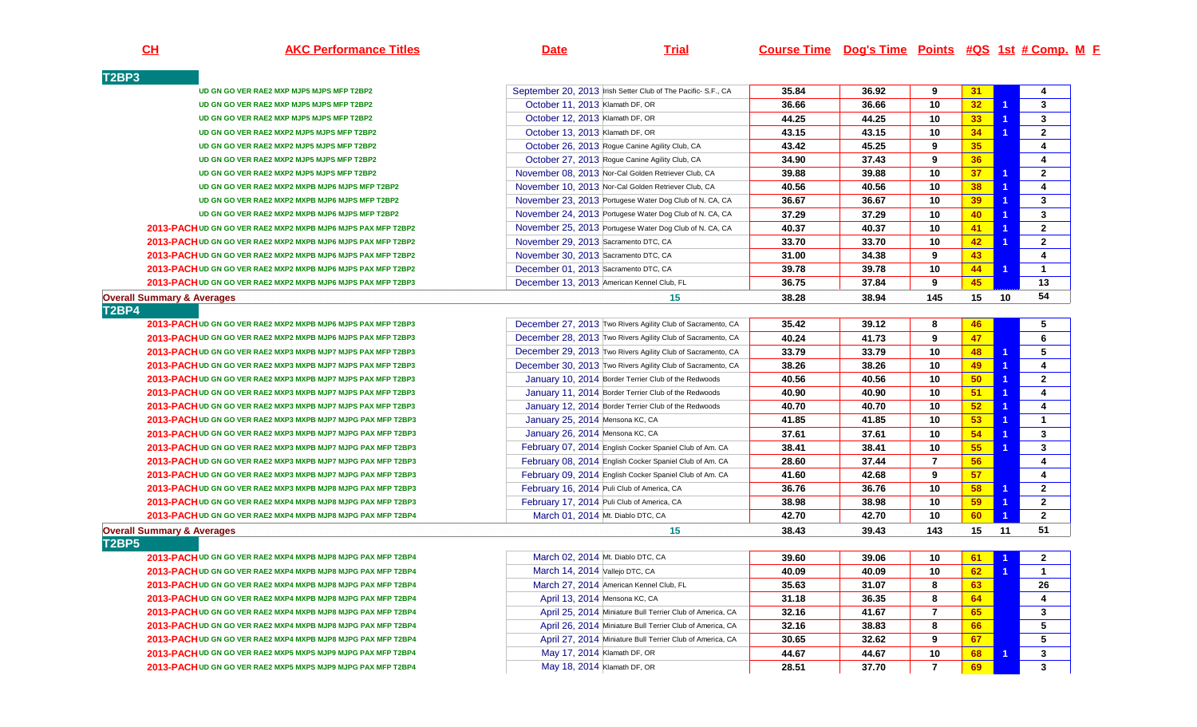**AKC Performance Titles Date Trial Course Time Dog's Time Points #QS 1st # Comp. <sup>M</sup> <sup>F</sup>**

| T2BP3                                                         |                                                              |       |       |                |                 |                      |                         |
|---------------------------------------------------------------|--------------------------------------------------------------|-------|-------|----------------|-----------------|----------------------|-------------------------|
| UD GN GO VER RAE2 MXP MJP5 MJPS MFP T2BP2                     | September 20, 2013 Irish Setter Club of The Pacific-S.F., CA | 35.84 | 36.92 | 9              | 31              |                      | $\overline{4}$          |
| UD GN GO VER RAE2 MXP MJP5 MJPS MFP T2BP2                     | October 11, 2013 Klamath DF, OR                              | 36.66 | 36.66 | 10             | 32 <sub>2</sub> | $\overline{1}$       | $\mathbf{3}$            |
| UD GN GO VER RAE2 MXP MJP5 MJPS MFP T2BP2                     | October 12, 2013 Klamath DF, OR                              | 44.25 | 44.25 | 10             | 33              | $\mathbf 1$          | 3                       |
| UD GN GO VER RAE2 MXP2 MJP5 MJPS MFP T2BP2                    | October 13, 2013 Klamath DF, OR                              | 43.15 | 43.15 | 10             | 34              | 1                    | $\mathbf{2}$            |
| UD GN GO VER RAE2 MXP2 MJP5 MJPS MFP T2BP2                    | October 26, 2013 Rogue Canine Agility Club, CA               | 43.42 | 45.25 | 9              | 35              |                      | $\overline{4}$          |
| UD GN GO VER RAE2 MXP2 MJP5 MJPS MFP T2BP2                    | October 27, 2013 Rogue Canine Agility Club, CA               | 34.90 | 37.43 | 9              | 36              |                      | 4                       |
| UD GN GO VER RAE2 MXP2 MJP5 MJPS MFP T2BP2                    | November 08, 2013 Nor-Cal Golden Retriever Club, CA          | 39.88 | 39.88 | 10             | 37              | 1                    | $\overline{2}$          |
| UD GN GO VER RAE2 MXP2 MXPB MJP6 MJPS MFP T2BP2               | November 10, 2013 Nor-Cal Golden Retriever Club, CA          | 40.56 | 40.56 | 10             | 38              | $\overline{1}$       | 4                       |
| UD GN GO VER RAE2 MXP2 MXPB MJP6 MJPS MFP T2BP2               | November 23, 2013 Portugese Water Dog Club of N. CA, CA      | 36.67 | 36.67 | 10             | 39              | 1                    | $\mathbf{3}$            |
| UD GN GO VER RAE2 MXP2 MXPB MJP6 MJPS MFP T2BP2               | November 24, 2013 Portugese Water Dog Club of N. CA, CA      | 37.29 | 37.29 | 10             | 40              | $\overline{1}$       | $\mathbf{3}$            |
| 2013-PACH UD GN GO VER RAE2 MXP2 MXPB MJP6 MJPS PAX MFP T2BP2 | November 25, 2013 Portugese Water Dog Club of N. CA, CA      | 40.37 | 40.37 | 10             | 41              | 1                    | $\mathbf{2}$            |
| 2013-PACH UD GN GO VER RAE2 MXP2 MXPB MJP6 MJPS PAX MFP T2BP2 | November 29, 2013 Sacramento DTC, CA                         | 33.70 | 33.70 | 10             | 42              | 1                    | $\mathbf{2}$            |
| 2013-PACH UD GN GO VER RAE2 MXP2 MXPB MJP6 MJPS PAX MFP T2BP2 | November 30, 2013 Sacramento DTC, CA                         | 31.00 | 34.38 | 9              | 43              |                      | $\overline{\mathbf{4}}$ |
| 2013-PACH UD GN GO VER RAE2 MXP2 MXPB MJP6 MJPS PAX MFP T2BP2 | December 01, 2013 Sacramento DTC, CA                         | 39.78 | 39.78 | 10             | 44              | $\blacktriangleleft$ | $\mathbf{1}$            |
| 2013-PACH UD GN GO VER RAE2 MXP2 MXPB MJP6 MJPS PAX MFP T2BP3 | December 13, 2013 American Kennel Club, FL                   | 36.75 | 37.84 | 9              | 45              |                      | 13                      |
| <b>Overall Summary &amp; Averages</b>                         | 15                                                           | 38.28 | 38.94 | 145            | 15              | 10                   | 54                      |
| T2BP4                                                         |                                                              |       |       |                |                 |                      |                         |
| 2013-PACH UD GN GO VER RAE2 MXP2 MXPB MJP6 MJPS PAX MFP T2BP3 | December 27, 2013 Two Rivers Agility Club of Sacramento, CA  | 35.42 | 39.12 | 8              | 46              |                      | 5                       |
| 2013-PACH UD GN GO VER RAE2 MXP2 MXPB MJP6 MJPS PAX MFP T2BP3 | December 28, 2013 Two Rivers Agility Club of Sacramento, CA  | 40.24 | 41.73 | 9              | 47              |                      | 6                       |
| 2013-PACH UD GN GO VER RAE2 MXP3 MXPB MJP7 MJPS PAX MFP T2BP3 | December 29, 2013 Two Rivers Agility Club of Sacramento, CA  | 33.79 | 33.79 | 10             | 48              | $\blacktriangleleft$ | 5                       |
| 2013-PACH UD GN GO VER RAE2 MXP3 MXPB MJP7 MJPS PAX MFP T2BP3 | December 30, 2013 Two Rivers Agility Club of Sacramento, CA  | 38.26 | 38.26 | 10             | 49              | $\overline{1}$       | $\overline{4}$          |
| 2013-PACH UD GN GO VER RAE2 MXP3 MXPB MJP7 MJPS PAX MFP T2BP3 | January 10, 2014 Border Terrier Club of the Redwoods         | 40.56 | 40.56 | 10             | 50              | $\overline{1}$       | $\mathbf{2}$            |
| 2013-PACH UD GN GO VER RAE2 MXP3 MXPB MJP7 MJPS PAX MFP T2BP3 | January 11, 2014 Border Terrier Club of the Redwoods         | 40.90 | 40.90 | 10             | 51              | $\overline{1}$       | $\overline{\mathbf{4}}$ |
| 2013-PACH UD GN GO VER RAE2 MXP3 MXPB MJP7 MJPS PAX MFP T2BP3 | January 12, 2014 Border Terrier Club of the Redwoods         | 40.70 | 40.70 | 10             | 52              | $\overline{1}$       | $\overline{\mathbf{4}}$ |
| 2013-PACHUD GN GO VER RAE2 MXP3 MXPB MJP7 MJPG PAX MFP T2BP3  | January 25, 2014 Mensona KC, CA                              | 41.85 | 41.85 | 10             | 53              | 1                    | $\mathbf{1}$            |
| 2013-PACH UD GN GO VER RAE2 MXP3 MXPB MJP7 MJPG PAX MFP T2BP3 | January 26, 2014 Mensona KC, CA                              | 37.61 | 37.61 | 10             | 54              | 1                    | $\mathbf{3}$            |
| 2013-PACH UD GN GO VER RAE2 MXP3 MXPB MJP7 MJPG PAX MFP T2BP3 | February 07, 2014 English Cocker Spaniel Club of Am. CA      | 38.41 | 38.41 | 10             | 55              | $\overline{1}$       | $\mathbf{3}$            |
| 2013-PACH UD GN GO VER RAE2 MXP3 MXPB MJP7 MJPG PAX MFP T2BP3 | February 08, 2014 English Cocker Spaniel Club of Am. CA      | 28.60 | 37.44 | $\overline{7}$ | 56              |                      | $\overline{\mathbf{4}}$ |
| 2013-PACHUD GN GO VER RAE2 MXP3 MXPB MJP7 MJPG PAX MFP T2BP3  | February 09, 2014 English Cocker Spaniel Club of Am. CA      | 41.60 | 42.68 | 9              | 57              |                      | 4                       |
| 2013-PACH UD GN GO VER RAE2 MXP3 MXPB MJP8 MJPG PAX MFP T2BP3 | February 16, 2014 Puli Club of America, CA                   | 36.76 | 36.76 | 10             | 58              | $\blacktriangleleft$ | $2^{\circ}$             |
| 2013-PACH UD GN GO VER RAE2 MXP4 MXPB MJP8 MJPG PAX MFP T2BP3 | February 17, 2014 Puli Club of America, CA                   | 38.98 | 38.98 | 10             | 59              | $\overline{1}$       | $\mathbf{2}$            |
| 2013-PACH UD GN GO VER RAE2 MXP4 MXPB MJP8 MJPG PAX MFP T2BP4 | March 01, 2014 Mt. Diablo DTC, CA                            | 42.70 | 42.70 | 10             | 60              | 1                    | $\mathbf{2}$            |
| <b>Overall Summary &amp; Averages</b>                         | 15                                                           | 38.43 | 39.43 | 143            | 15              | 11                   | 51                      |
| T2BP5                                                         |                                                              |       |       |                |                 |                      |                         |
| 2013-PACH UD GN GO VER RAE2 MXP4 MXPB MJP8 MJPG PAX MFP T2BP4 | March 02, 2014 Mt. Diablo DTC, CA                            | 39.60 | 39.06 | 10             | 61              |                      | $\mathbf{2}$            |
| 2013-PACH UD GN GO VER RAE2 MXP4 MXPB MJP8 MJPG PAX MFP T2BP4 | March 14, 2014 Vallejo DTC, CA                               | 40.09 | 40.09 | 10             | 62 <sub>2</sub> | $\blacktriangleleft$ | $\mathbf{1}$            |
| 2013-PACH UD GN GO VER RAE2 MXP4 MXPB MJP8 MJPG PAX MFP T2BP4 | March 27, 2014 American Kennel Club, FL                      | 35.63 | 31.07 | 8              | 63              |                      | 26                      |
| 2013-PACHUD GN GO VER RAE2 MXP4 MXPB MJP8 MJPG PAX MFP T2BP4  | April 13, 2014 Mensona KC, CA                                | 31.18 | 36.35 | 8              | 64              |                      | $\overline{4}$          |
| 2013-PACH UD GN GO VER RAE2 MXP4 MXPB MJP8 MJPG PAX MFP T2BP4 | April 25, 2014 Miniature Bull Terrier Club of America, CA    | 32.16 | 41.67 | $\overline{7}$ | 65              |                      | $\mathbf{3}$            |
| 2013-PACH UD GN GO VER RAE2 MXP4 MXPB MJP8 MJPG PAX MFP T2BP4 | April 26, 2014 Miniature Bull Terrier Club of America, CA    | 32.16 | 38.83 | 8              | 66              |                      | $\overline{5}$          |
| 2013-PACH UD GN GO VER RAE2 MXP4 MXPB MJP8 MJPG PAX MFP T2BP4 | April 27, 2014 Miniature Bull Terrier Club of America, CA    | 30.65 | 32.62 | 9              | 67              |                      | $\sqrt{5}$              |
| 2013-PACH UD GN GO VER RAE2 MXP5 MXPS MJP9 MJPG PAX MFP T2BP4 | May 17, 2014 Klamath DF, OR                                  | 44.67 | 44.67 | 10             | 68              | 1                    | $\mathbf{3}$            |
| 2013-PACH UD GN GO VER RAE2 MXP5 MXPS MJP9 MJPG PAX MFP T2BP4 | May 18, 2014 Klamath DF, OR                                  | 28.51 | 37.70 | $\overline{7}$ | 69              |                      | $\mathbf{3}$            |